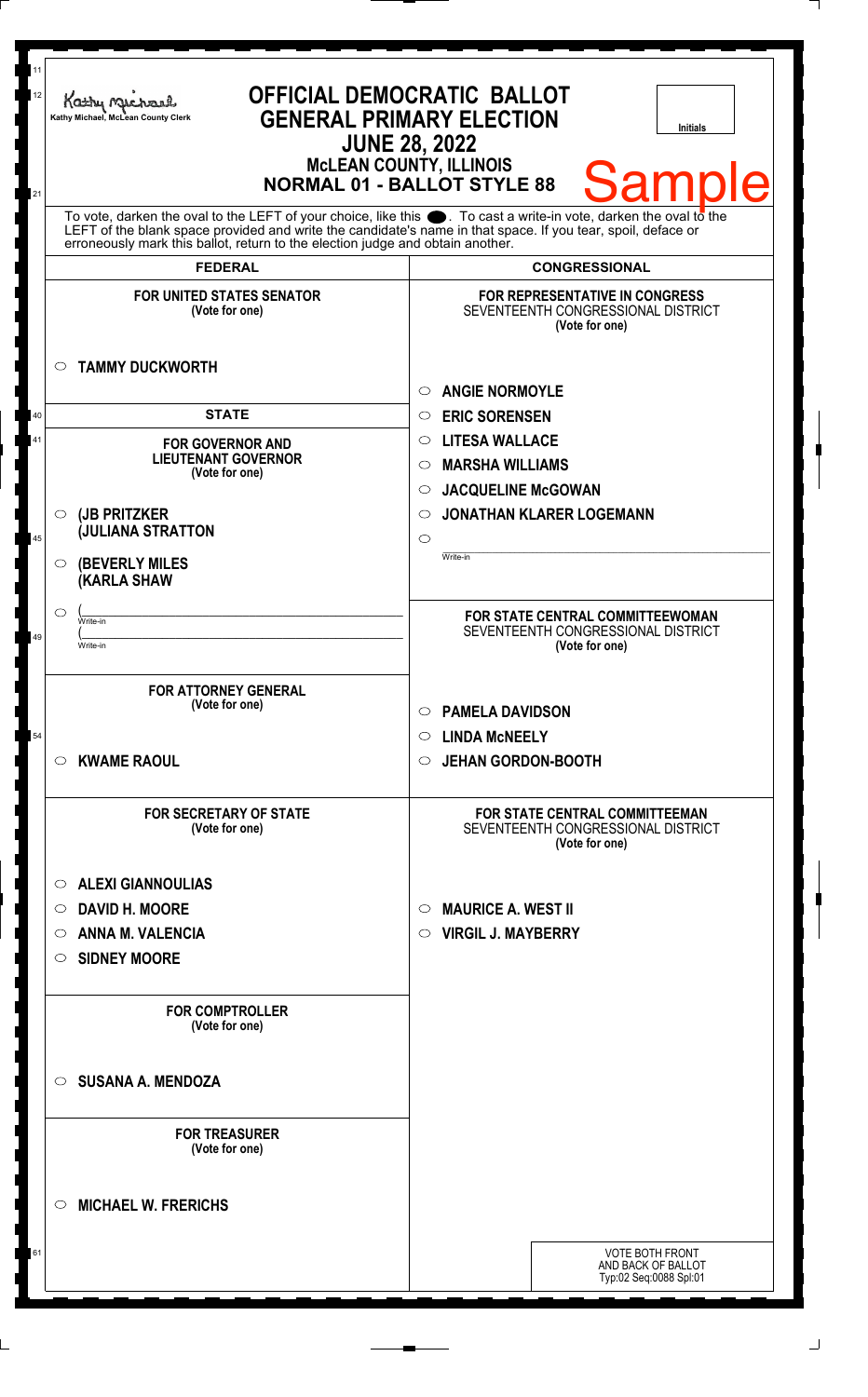| 11<br>12<br>21 | Kathy Michael<br>Kathy Michael, McLean County Clerk<br><b>JUNE 28, 2022</b>                                                                                                                                                                                                                                            | <b>OFFICIAL DEMOCRATIC BALLOT</b><br><b>GENERAL PRIMARY ELECTION</b><br><b>Initials</b><br><b>McLEAN COUNTY, ILLINOIS</b><br><b>Samp</b><br><b>NORMAL 01 - BALLOT STYLE 88</b> |
|----------------|------------------------------------------------------------------------------------------------------------------------------------------------------------------------------------------------------------------------------------------------------------------------------------------------------------------------|--------------------------------------------------------------------------------------------------------------------------------------------------------------------------------|
|                | To vote, darken the oval to the LEFT of your choice, like this $\bullet$ . To cast a write-in vote, darken the oval to the LEFT of the boral to the LEFT of the blank space provided and write the candidate's name in that space. I<br>erroneously mark this ballot, return to the election judge and obtain another. |                                                                                                                                                                                |
|                | <b>FEDERAL</b>                                                                                                                                                                                                                                                                                                         | <b>CONGRESSIONAL</b>                                                                                                                                                           |
|                | <b>FOR UNITED STATES SENATOR</b><br>(Vote for one)                                                                                                                                                                                                                                                                     | <b>FOR REPRESENTATIVE IN CONGRESS</b><br>SEVENTEENTH CONGRESSIONAL DISTRICT<br>(Vote for one)                                                                                  |
|                | <b>TAMMY DUCKWORTH</b><br>$\circlearrowright$                                                                                                                                                                                                                                                                          | <b>ANGIE NORMOYLE</b><br>$\circ$                                                                                                                                               |
| 40             | <b>STATE</b>                                                                                                                                                                                                                                                                                                           | <b>ERIC SORENSEN</b><br>$\circ$                                                                                                                                                |
| 41             | <b>FOR GOVERNOR AND</b><br><b>LIEUTENANT GOVERNOR</b>                                                                                                                                                                                                                                                                  | <b>LITESA WALLACE</b><br>$\circ$                                                                                                                                               |
|                | (Vote for one)                                                                                                                                                                                                                                                                                                         | <b>MARSHA WILLIAMS</b><br>$\circ$                                                                                                                                              |
|                |                                                                                                                                                                                                                                                                                                                        | <b>JACQUELINE McGOWAN</b><br>$\circlearrowright$                                                                                                                               |
|                | (JB PRITZKER<br>$\circ$<br><b>JULIANA STRATTON</b>                                                                                                                                                                                                                                                                     | <b>JONATHAN KLARER LOGEMANN</b><br>$\circ$                                                                                                                                     |
| 45             | <b>(BEVERLY MILES)</b><br>$\circ$<br><b>(KARLA SHAW</b>                                                                                                                                                                                                                                                                | $\circ$<br>Write-in                                                                                                                                                            |
|                | $\circlearrowright$                                                                                                                                                                                                                                                                                                    | FOR STATE CENTRAL COMMITTEEWOMAN                                                                                                                                               |
| 49             | Write-in                                                                                                                                                                                                                                                                                                               | SEVENTEENTH CONGRESSIONAL DISTRICT                                                                                                                                             |
|                | wnte-in                                                                                                                                                                                                                                                                                                                | (Vote for one)                                                                                                                                                                 |
| 54             | <b>FOR ATTORNEY GENERAL</b><br>(Vote for one)                                                                                                                                                                                                                                                                          | <b>PAMELA DAVIDSON</b><br>$\circ$<br><b>LINDA MCNEELY</b><br>$\circ$                                                                                                           |
|                | <b>KWAME RAOUL</b><br>$\circ$                                                                                                                                                                                                                                                                                          | <b>JEHAN GORDON-BOOTH</b><br>$\circ$                                                                                                                                           |
|                | <b>FOR SECRETARY OF STATE</b><br>(Vote for one)                                                                                                                                                                                                                                                                        | FOR STATE CENTRAL COMMITTEEMAN<br>SEVENTEENTH CONGRESSIONAL DISTRICT<br>(Vote for one)                                                                                         |
|                | <b>ALEXI GIANNOULIAS</b><br>O                                                                                                                                                                                                                                                                                          |                                                                                                                                                                                |
|                | <b>DAVID H. MOORE</b><br>$\circ$                                                                                                                                                                                                                                                                                       | <b>MAURICE A. WEST II</b><br>$\circ$                                                                                                                                           |
|                | <b>ANNA M. VALENCIA</b><br>O                                                                                                                                                                                                                                                                                           | <b>VIRGIL J. MAYBERRY</b><br>O                                                                                                                                                 |
|                | <b>SIDNEY MOORE</b><br>O                                                                                                                                                                                                                                                                                               |                                                                                                                                                                                |
|                | <b>FOR COMPTROLLER</b><br>(Vote for one)                                                                                                                                                                                                                                                                               |                                                                                                                                                                                |
|                | <b>SUSANA A. MENDOZA</b><br>$\circ$                                                                                                                                                                                                                                                                                    |                                                                                                                                                                                |
|                | <b>FOR TREASURER</b><br>(Vote for one)                                                                                                                                                                                                                                                                                 |                                                                                                                                                                                |
|                | <b>MICHAEL W. FRERICHS</b><br>◯                                                                                                                                                                                                                                                                                        |                                                                                                                                                                                |
| 61             |                                                                                                                                                                                                                                                                                                                        | <b>VOTE BOTH FRONT</b><br>AND BACK OF BALLOT                                                                                                                                   |
|                |                                                                                                                                                                                                                                                                                                                        | Typ:02 Seq:0088 Spl:01                                                                                                                                                         |
|                |                                                                                                                                                                                                                                                                                                                        |                                                                                                                                                                                |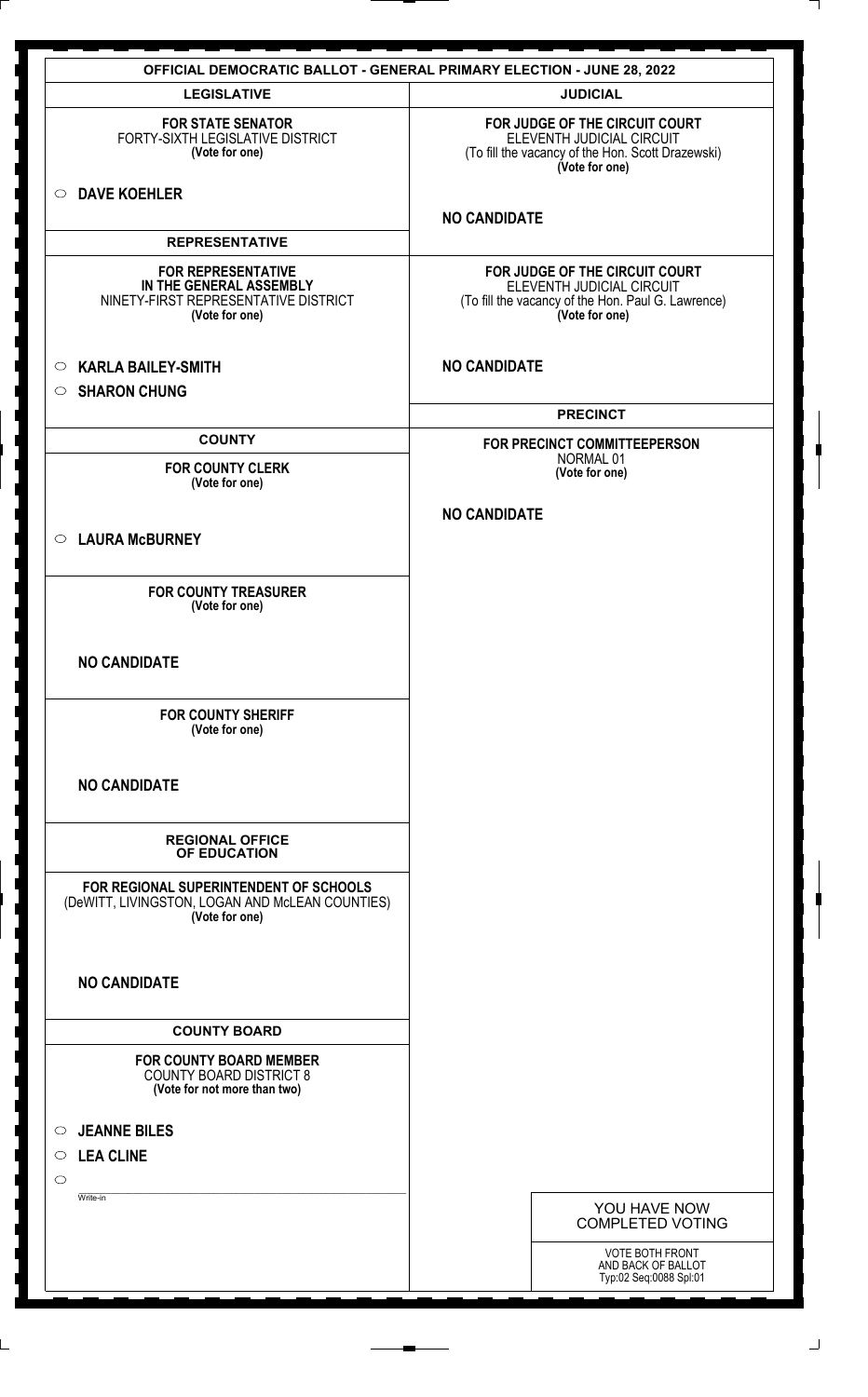| <b>OFFICIAL DEMOCRATIC BALLOT - GENERAL PRIMARY ELECTION - JUNE 28, 2022</b>                                   |                                                                                                                                     |
|----------------------------------------------------------------------------------------------------------------|-------------------------------------------------------------------------------------------------------------------------------------|
| <b>LEGISLATIVE</b>                                                                                             | <b>JUDICIAL</b>                                                                                                                     |
| <b>FOR STATE SENATOR</b><br>FORTY-SIXTH LEGISLATIVE DISTRICT<br>(Vote for one)                                 | FOR JUDGE OF THE CIRCUIT COURT<br>ELEVENTH JUDICIAL CIRCUIT<br>(To fill the vacancy of the Hon. Scott Drazewski)<br>(Vote for one)  |
| <b>DAVE KOEHLER</b><br>$\circ$                                                                                 | <b>NO CANDIDATE</b>                                                                                                                 |
| <b>REPRESENTATIVE</b>                                                                                          |                                                                                                                                     |
| <b>FOR REPRESENTATIVE</b><br>IN THE GENERAL ASSEMBLY<br>NINETY-FIRST REPRESENTATIVE DISTRICT<br>(Vote for one) | FOR JUDGE OF THE CIRCUIT COURT<br>ELEVENTH JUDICIAL CIRCUIT<br>(To fill the vacancy of the Hon. Paul G. Lawrence)<br>(Vote for one) |
| <b>KARLA BAILEY-SMITH</b><br>$\circ$<br><b>SHARON CHUNG</b><br>$\circ$                                         | <b>NO CANDIDATE</b>                                                                                                                 |
|                                                                                                                | <b>PRECINCT</b>                                                                                                                     |
| <b>COUNTY</b>                                                                                                  | FOR PRECINCT COMMITTEEPERSON                                                                                                        |
| <b>FOR COUNTY CLERK</b><br>(Vote for one)                                                                      | NORMAL 01<br>(Vote for one)                                                                                                         |
|                                                                                                                | <b>NO CANDIDATE</b>                                                                                                                 |
| <b>LAURA McBURNEY</b><br>$\circ$                                                                               |                                                                                                                                     |
| <b>FOR COUNTY TREASURER</b><br>(Vote for one)                                                                  |                                                                                                                                     |
| <b>NO CANDIDATE</b>                                                                                            |                                                                                                                                     |
| <b>FOR COUNTY SHERIFF</b><br>(Vote for one)                                                                    |                                                                                                                                     |
| <b>NO CANDIDATE</b>                                                                                            |                                                                                                                                     |
| <b>REGIONAL OFFICE</b><br>OF EDUCATION                                                                         |                                                                                                                                     |
| FOR REGIONAL SUPERINTENDENT OF SCHOOLS<br>(DeWITT, LIVINGSTON, LOGAN AND McLEAN COUNTIES)<br>(Vote for one)    |                                                                                                                                     |
| <b>NO CANDIDATE</b>                                                                                            |                                                                                                                                     |
| <b>COUNTY BOARD</b>                                                                                            |                                                                                                                                     |
| <b>FOR COUNTY BOARD MEMBER</b><br><b>COUNTY BOARD DISTRICT 8</b><br>(Vote for not more than two)               |                                                                                                                                     |
| <b>JEANNE BILES</b><br>$\circ$                                                                                 |                                                                                                                                     |
| <b>LEA CLINE</b><br>$\circ$                                                                                    |                                                                                                                                     |
| $\circ$                                                                                                        |                                                                                                                                     |
| Write-in                                                                                                       | YOU HAVE NOW<br><b>COMPLETED VOTING</b>                                                                                             |
|                                                                                                                | <b>VOTE BOTH FRONT</b>                                                                                                              |
|                                                                                                                | AND BACK OF BALLOT<br>Typ:02 Seq:0088 Spl:01                                                                                        |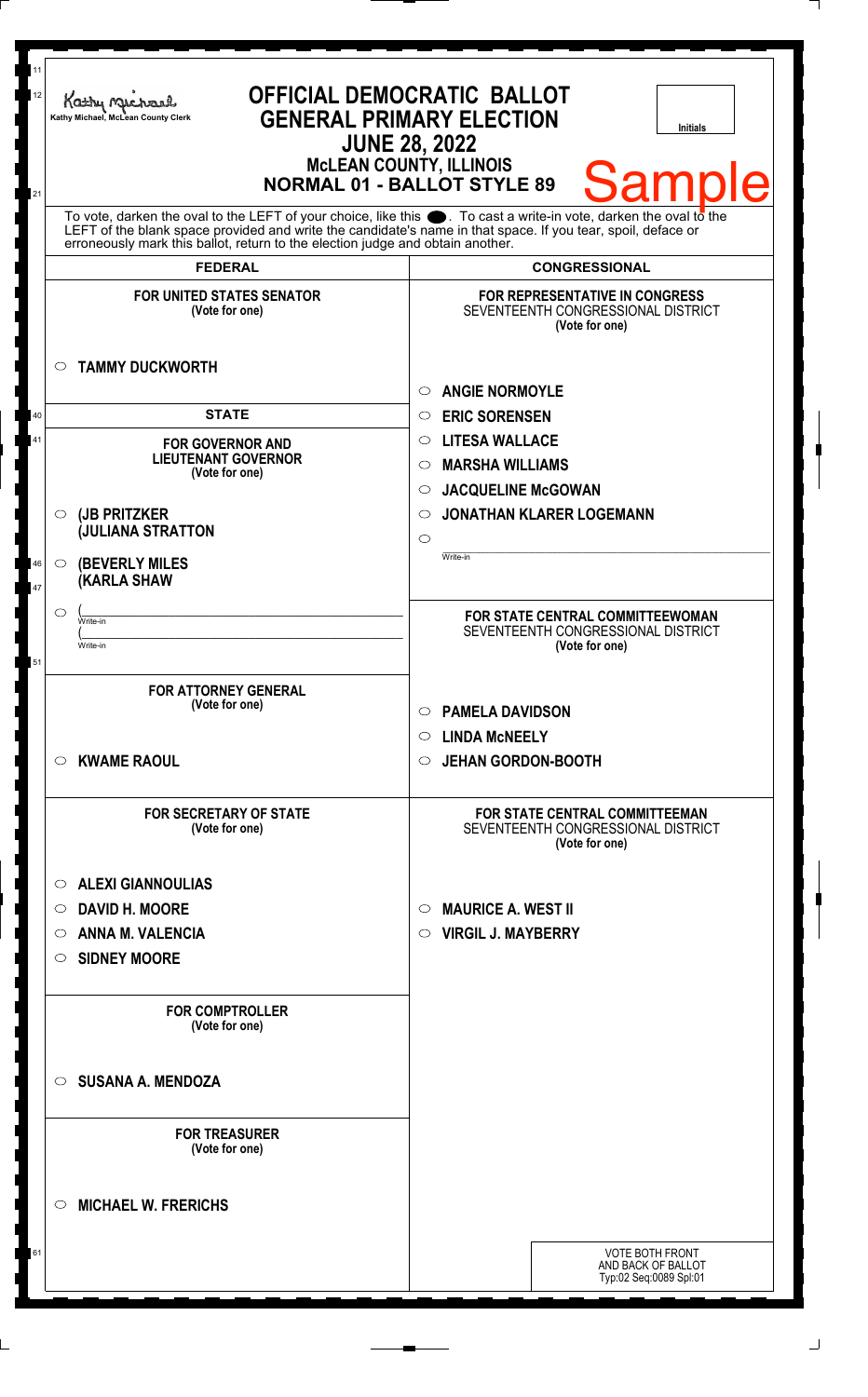| 11<br>12<br>21 | Kathy Macharel<br>Kathy Michael, McLean County Clerk                                                                                                                                                                                                                                                                   | <b>OFFICIAL DEMOCRATIC BALLOT</b><br><b>GENERAL PRIMARY ELECTION</b><br><b>Initials</b><br><b>JUNE 28, 2022</b><br><b>MCLEAN COUNTY, ILLINOIS</b><br>Sampl<br>Ie<br><b>NORMAL 01 - BALLOT STYLE 89</b> |
|----------------|------------------------------------------------------------------------------------------------------------------------------------------------------------------------------------------------------------------------------------------------------------------------------------------------------------------------|--------------------------------------------------------------------------------------------------------------------------------------------------------------------------------------------------------|
|                | To vote, darken the oval to the LEFT of your choice, like this $\bullet$ . To cast a write-in vote, darken the oval to the LEFT of the blank space provided and write the candidate's name in that space. If you tear, spoil, deface<br>erroneously mark this ballot, return to the election judge and obtain another. |                                                                                                                                                                                                        |
|                | <b>FEDERAL</b>                                                                                                                                                                                                                                                                                                         | <b>CONGRESSIONAL</b>                                                                                                                                                                                   |
|                | <b>FOR UNITED STATES SENATOR</b><br>(Vote for one)<br><b>TAMMY DUCKWORTH</b><br>$\circ$                                                                                                                                                                                                                                | FOR REPRESENTATIVE IN CONGRESS<br>SEVENTEENTH CONGRESSIONAL DISTRICT<br>(Vote for one)                                                                                                                 |
|                |                                                                                                                                                                                                                                                                                                                        | <b>ANGIE NORMOYLE</b><br>$\circ$                                                                                                                                                                       |
| 40             | <b>STATE</b>                                                                                                                                                                                                                                                                                                           | <b>ERIC SORENSEN</b><br>$\circ$                                                                                                                                                                        |
| 41             | <b>FOR GOVERNOR AND</b>                                                                                                                                                                                                                                                                                                | <b>LITESA WALLACE</b><br>$\circ$                                                                                                                                                                       |
|                | <b>LIEUTENANT GOVERNOR</b>                                                                                                                                                                                                                                                                                             | <b>MARSHA WILLIAMS</b><br>$\circ$                                                                                                                                                                      |
|                | (Vote for one)                                                                                                                                                                                                                                                                                                         | <b>JACQUELINE McGOWAN</b><br>$\circ$                                                                                                                                                                   |
|                | (JB PRITZKER<br>$\circ$                                                                                                                                                                                                                                                                                                | <b>JONATHAN KLARER LOGEMANN</b><br>$\circ$                                                                                                                                                             |
|                | <b>JULIANA STRATTON</b>                                                                                                                                                                                                                                                                                                | $\circ$                                                                                                                                                                                                |
| 46<br>47       | <b>(BEVERLY MILES)</b><br>$\circ$<br><b>(KARLA SHAW</b>                                                                                                                                                                                                                                                                | Write-in                                                                                                                                                                                               |
|                | $\circ$<br>Write-in                                                                                                                                                                                                                                                                                                    | FOR STATE CENTRAL COMMITTEEWOMAN                                                                                                                                                                       |
|                | Write-in                                                                                                                                                                                                                                                                                                               | SEVENTEENTH CONGRESSIONAL DISTRICT<br>(Vote for one)                                                                                                                                                   |
| 51             |                                                                                                                                                                                                                                                                                                                        |                                                                                                                                                                                                        |
|                | <b>FOR ATTORNEY GENERAL</b><br>(Vote for one)                                                                                                                                                                                                                                                                          | <b>PAMELA DAVIDSON</b><br>$\circ$                                                                                                                                                                      |
|                |                                                                                                                                                                                                                                                                                                                        | <b>LINDA MCNEELY</b><br>$\circ$                                                                                                                                                                        |
|                | <b>KWAME RAOUL</b><br>O                                                                                                                                                                                                                                                                                                | <b>JEHAN GORDON-BOOTH</b><br>$\circ$                                                                                                                                                                   |
|                | <b>FOR SECRETARY OF STATE</b><br>(Vote for one)                                                                                                                                                                                                                                                                        | FOR STATE CENTRAL COMMITTEEMAN<br>SEVENTEENTH CONGRESSIONAL DISTRICT<br>(Vote for one)                                                                                                                 |
|                | <b>ALEXI GIANNOULIAS</b><br>$\circ$                                                                                                                                                                                                                                                                                    |                                                                                                                                                                                                        |
|                | <b>DAVID H. MOORE</b><br>O                                                                                                                                                                                                                                                                                             | <b>MAURICE A. WEST II</b><br>$\circ$                                                                                                                                                                   |
|                | <b>ANNA M. VALENCIA</b><br>O                                                                                                                                                                                                                                                                                           | <b>VIRGIL J. MAYBERRY</b><br>$\circ$                                                                                                                                                                   |
|                | <b>SIDNEY MOORE</b><br>O                                                                                                                                                                                                                                                                                               |                                                                                                                                                                                                        |
|                | <b>FOR COMPTROLLER</b><br>(Vote for one)                                                                                                                                                                                                                                                                               |                                                                                                                                                                                                        |
|                | <b>SUSANA A. MENDOZA</b><br>◯                                                                                                                                                                                                                                                                                          |                                                                                                                                                                                                        |
|                | <b>FOR TREASURER</b><br>(Vote for one)                                                                                                                                                                                                                                                                                 |                                                                                                                                                                                                        |
|                | <b>MICHAEL W. FRERICHS</b><br>◯                                                                                                                                                                                                                                                                                        |                                                                                                                                                                                                        |
| 61             |                                                                                                                                                                                                                                                                                                                        | <b>VOTE BOTH FRONT</b>                                                                                                                                                                                 |
|                |                                                                                                                                                                                                                                                                                                                        | AND BACK OF BALLOT<br>Typ:02 Seq:0089 Spl:01                                                                                                                                                           |
|                |                                                                                                                                                                                                                                                                                                                        |                                                                                                                                                                                                        |